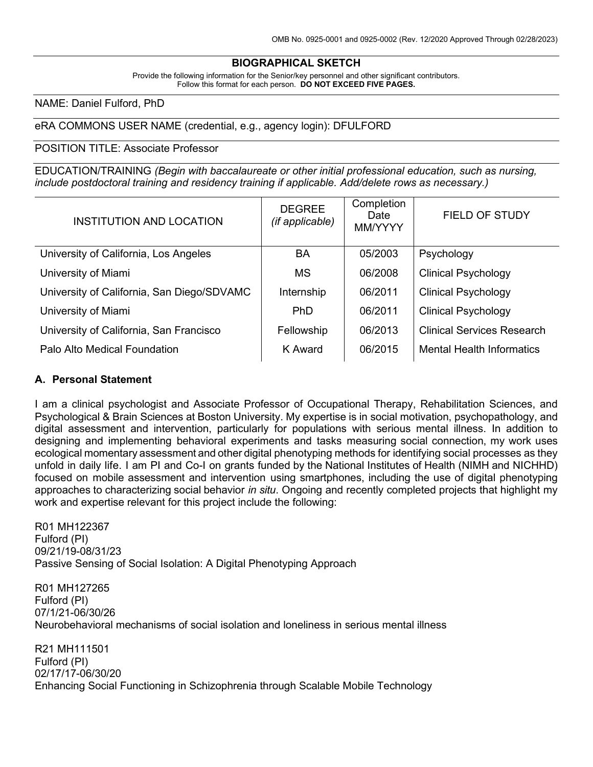## **BIOGRAPHICAL SKETCH**

Provide the following information for the Senior/key personnel and other significant contributors. Follow this format for each person. **DO NOT EXCEED FIVE PAGES.**

### NAME: Daniel Fulford, PhD

### eRA COMMONS USER NAME (credential, e.g., agency login): DFULFORD

### POSITION TITLE: Associate Professor

EDUCATION/TRAINING *(Begin with baccalaureate or other initial professional education, such as nursing, include postdoctoral training and residency training if applicable. Add/delete rows as necessary.)*

| <b>INSTITUTION AND LOCATION</b>            | <b>DEGREE</b><br>(if applicable) | Completion<br>Date<br>MM/YYYY | <b>FIELD OF STUDY</b>             |
|--------------------------------------------|----------------------------------|-------------------------------|-----------------------------------|
| University of California, Los Angeles      | BA                               | 05/2003                       | Psychology                        |
| University of Miami                        | <b>MS</b>                        | 06/2008                       | <b>Clinical Psychology</b>        |
| University of California, San Diego/SDVAMC | Internship                       | 06/2011                       | <b>Clinical Psychology</b>        |
| University of Miami                        | <b>PhD</b>                       | 06/2011                       | <b>Clinical Psychology</b>        |
| University of California, San Francisco    | Fellowship                       | 06/2013                       | <b>Clinical Services Research</b> |
| Palo Alto Medical Foundation               | K Award                          | 06/2015                       | <b>Mental Health Informatics</b>  |
|                                            |                                  |                               |                                   |

## **A. Personal Statement**

I am a clinical psychologist and Associate Professor of Occupational Therapy, Rehabilitation Sciences, and Psychological & Brain Sciences at Boston University. My expertise is in social motivation, psychopathology, and digital assessment and intervention, particularly for populations with serious mental illness. In addition to designing and implementing behavioral experiments and tasks measuring social connection, my work uses ecological momentary assessment and other digital phenotyping methods for identifying social processes as they unfold in daily life. I am PI and Co-I on grants funded by the National Institutes of Health (NIMH and NICHHD) focused on mobile assessment and intervention using smartphones, including the use of digital phenotyping approaches to characterizing social behavior *in situ*. Ongoing and recently completed projects that highlight my work and expertise relevant for this project include the following:

R01 MH122367 Fulford (PI) 09/21/19-08/31/23 Passive Sensing of Social Isolation: A Digital Phenotyping Approach

R01 MH127265 Fulford (PI) 07/1/21-06/30/26 Neurobehavioral mechanisms of social isolation and loneliness in serious mental illness

R21 MH111501 Fulford (PI) 02/17/17-06/30/20 Enhancing Social Functioning in Schizophrenia through Scalable Mobile Technology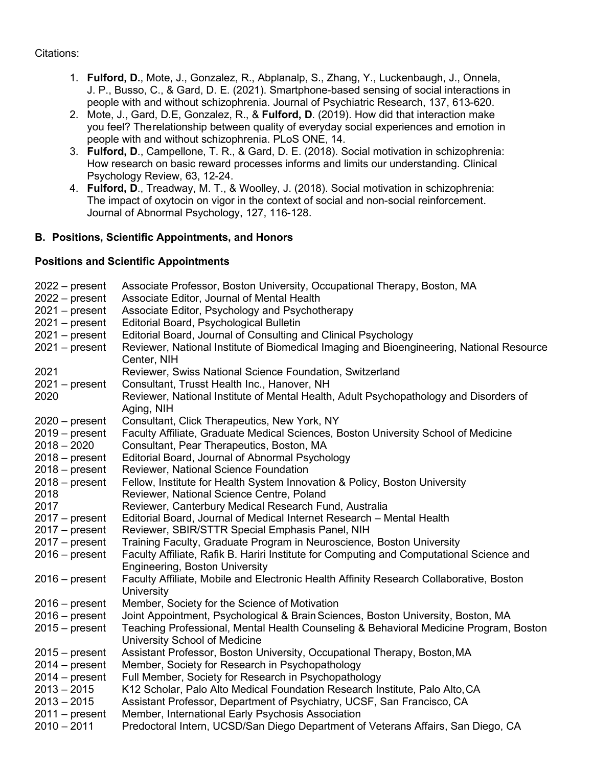Citations:

- 1. **Fulford, D.**, Mote, J., Gonzalez, R., Abplanalp, S., Zhang, Y., Luckenbaugh, J., Onnela, J. P., Busso, C., & Gard, D. E. (2021). Smartphone-based sensing of social interactions in people with and without schizophrenia. Journal of Psychiatric Research, 137, 613-620.
- 2. Mote, J., Gard, D.E, Gonzalez, R., & **Fulford, D**. (2019). How did that interaction make you feel? Therelationship between quality of everyday social experiences and emotion in people with and without schizophrenia. PLoS ONE, 14.
- 3. **Fulford, D**., Campellone, T. R., & Gard, D. E. (2018). Social motivation in schizophrenia: How research on basic reward processes informs and limits our understanding. Clinical Psychology Review, 63, 12-24.
- 4. **Fulford, D**., Treadway, M. T., & Woolley, J. (2018). Social motivation in schizophrenia: The impact of oxytocin on vigor in the context of social and non-social reinforcement. Journal of Abnormal Psychology, 127, 116-128.

# **B. Positions, Scientific Appointments, and Honors**

# **Positions and Scientific Appointments**

| $2022 - present$ | Associate Professor, Boston University, Occupational Therapy, Boston, MA                                                          |
|------------------|-----------------------------------------------------------------------------------------------------------------------------------|
| $2022 - present$ | Associate Editor, Journal of Mental Health                                                                                        |
| $2021 - present$ | Associate Editor, Psychology and Psychotherapy                                                                                    |
| $2021 - present$ | Editorial Board, Psychological Bulletin                                                                                           |
| $2021 - present$ | Editorial Board, Journal of Consulting and Clinical Psychology                                                                    |
| $2021 - present$ | Reviewer, National Institute of Biomedical Imaging and Bioengineering, National Resource<br>Center, NIH                           |
| 2021             | Reviewer, Swiss National Science Foundation, Switzerland                                                                          |
| $2021 - present$ | Consultant, Trusst Health Inc., Hanover, NH                                                                                       |
| 2020             | Reviewer, National Institute of Mental Health, Adult Psychopathology and Disorders of<br>Aging, NIH                               |
| $2020 - present$ | Consultant, Click Therapeutics, New York, NY                                                                                      |
| $2019 - present$ | Faculty Affiliate, Graduate Medical Sciences, Boston University School of Medicine                                                |
| $2018 - 2020$    | Consultant, Pear Therapeutics, Boston, MA                                                                                         |
| $2018 - present$ | Editorial Board, Journal of Abnormal Psychology                                                                                   |
| $2018 - present$ | Reviewer, National Science Foundation                                                                                             |
| $2018 - present$ | Fellow, Institute for Health System Innovation & Policy, Boston University                                                        |
| 2018             | Reviewer, National Science Centre, Poland                                                                                         |
| 2017             | Reviewer, Canterbury Medical Research Fund, Australia                                                                             |
| $2017 - present$ | Editorial Board, Journal of Medical Internet Research – Mental Health                                                             |
| $2017 - present$ | Reviewer, SBIR/STTR Special Emphasis Panel, NIH                                                                                   |
| $2017 - present$ | Training Faculty, Graduate Program in Neuroscience, Boston University                                                             |
| $2016$ – present | Faculty Affiliate, Rafik B. Hariri Institute for Computing and Computational Science and<br><b>Engineering, Boston University</b> |
| $2016$ – present | Faculty Affiliate, Mobile and Electronic Health Affinity Research Collaborative, Boston<br>University                             |
| $2016$ – present | Member, Society for the Science of Motivation                                                                                     |
| $2016$ – present | Joint Appointment, Psychological & Brain Sciences, Boston University, Boston, MA                                                  |
| $2015 - present$ | Teaching Professional, Mental Health Counseling & Behavioral Medicine Program, Boston<br>University School of Medicine            |
| $2015 - present$ | Assistant Professor, Boston University, Occupational Therapy, Boston, MA                                                          |
| $2014 - present$ | Member, Society for Research in Psychopathology                                                                                   |
| $2014 - present$ | Full Member, Society for Research in Psychopathology                                                                              |
| $2013 - 2015$    | K12 Scholar, Palo Alto Medical Foundation Research Institute, Palo Alto, CA                                                       |
| $2013 - 2015$    | Assistant Professor, Department of Psychiatry, UCSF, San Francisco, CA                                                            |
| $2011 - present$ | Member, International Early Psychosis Association                                                                                 |
| $2010 - 2011$    | Predoctoral Intern, UCSD/San Diego Department of Veterans Affairs, San Diego, CA                                                  |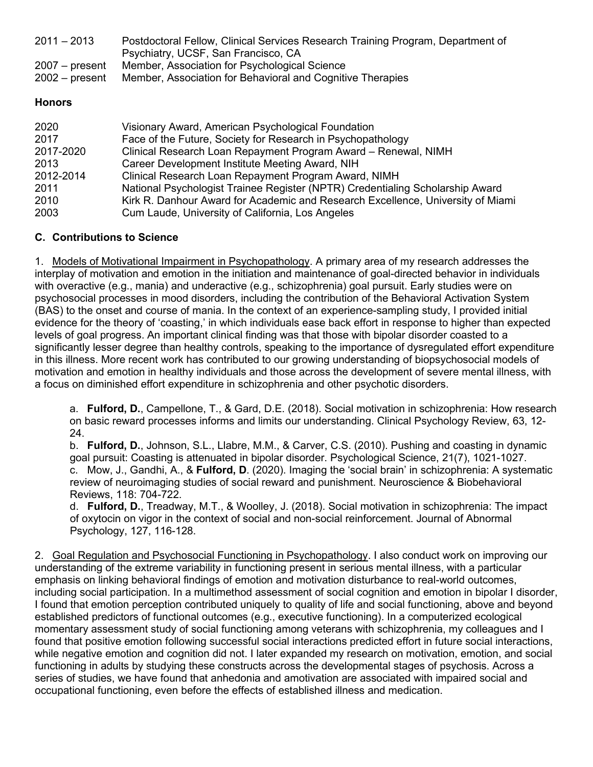| $2011 - 2013$<br>$2007 - present$ | Postdoctoral Fellow, Clinical Services Research Training Program, Department of<br>Psychiatry, UCSF, San Francisco, CA<br>Member, Association for Psychological Science |
|-----------------------------------|-------------------------------------------------------------------------------------------------------------------------------------------------------------------------|
| $2002 - present$                  | Member, Association for Behavioral and Cognitive Therapies                                                                                                              |
| <b>Honors</b>                     |                                                                                                                                                                         |
| 2020<br>2017                      | Visionary Award, American Psychological Foundation<br>Face of the Future, Society for Research in Psychopathology                                                       |

|           | <b>T QUO OF GTO F QUOID, OUUIDITY TOI FRUUDUATURE IT IT OYUTO DUITURE IT</b>    |
|-----------|---------------------------------------------------------------------------------|
| 2017-2020 | Clinical Research Loan Repayment Program Award – Renewal, NIMH                  |
| 2013      | Career Development Institute Meeting Award, NIH                                 |
| 2012-2014 | Clinical Research Loan Repayment Program Award, NIMH                            |
| 2011      | National Psychologist Trainee Register (NPTR) Credentialing Scholarship Award   |
| 2010      | Kirk R. Danhour Award for Academic and Research Excellence, University of Miami |
| 2003      | Cum Laude, University of California, Los Angeles                                |
|           |                                                                                 |

# **C. Contributions to Science**

1. Models of Motivational Impairment in Psychopathology. A primary area of my research addresses the interplay of motivation and emotion in the initiation and maintenance of goal-directed behavior in individuals with overactive (e.g., mania) and underactive (e.g., schizophrenia) goal pursuit. Early studies were on psychosocial processes in mood disorders, including the contribution of the Behavioral Activation System (BAS) to the onset and course of mania. In the context of an experience-sampling study, I provided initial evidence for the theory of 'coasting,' in which individuals ease back effort in response to higher than expected levels of goal progress. An important clinical finding was that those with bipolar disorder coasted to a significantly lesser degree than healthy controls, speaking to the importance of dysregulated effort expenditure in this illness. More recent work has contributed to our growing understanding of biopsychosocial models of motivation and emotion in healthy individuals and those across the development of severe mental illness, with a focus on diminished effort expenditure in schizophrenia and other psychotic disorders.

a. **Fulford, D.**, Campellone, T., & Gard, D.E. (2018). Social motivation in schizophrenia: How research on basic reward processes informs and limits our understanding. Clinical Psychology Review, 63, 12- 24.

b. **Fulford, D.**, Johnson, S.L., Llabre, M.M., & Carver, C.S. (2010). Pushing and coasting in dynamic goal pursuit: Coasting is attenuated in bipolar disorder. Psychological Science, 21(7), 1021-1027. c. Mow, J., Gandhi, A., & **Fulford, D**. (2020). Imaging the 'social brain' in schizophrenia: A systematic review of neuroimaging studies of social reward and punishment. Neuroscience & Biobehavioral Reviews, 118: 704-722.

d. **Fulford, D.**, Treadway, M.T., & Woolley, J. (2018). Social motivation in schizophrenia: The impact of oxytocin on vigor in the context of social and non-social reinforcement. Journal of Abnormal Psychology, 127, 116-128.

2. Goal Regulation and Psychosocial Functioning in Psychopathology. I also conduct work on improving our understanding of the extreme variability in functioning present in serious mental illness, with a particular emphasis on linking behavioral findings of emotion and motivation disturbance to real-world outcomes, including social participation. In a multimethod assessment of social cognition and emotion in bipolar I disorder, I found that emotion perception contributed uniquely to quality of life and social functioning, above and beyond established predictors of functional outcomes (e.g., executive functioning). In a computerized ecological momentary assessment study of social functioning among veterans with schizophrenia, my colleagues and I found that positive emotion following successful social interactions predicted effort in future social interactions, while negative emotion and cognition did not. I later expanded my research on motivation, emotion, and social functioning in adults by studying these constructs across the developmental stages of psychosis. Across a series of studies, we have found that anhedonia and amotivation are associated with impaired social and occupational functioning, even before the effects of established illness and medication.